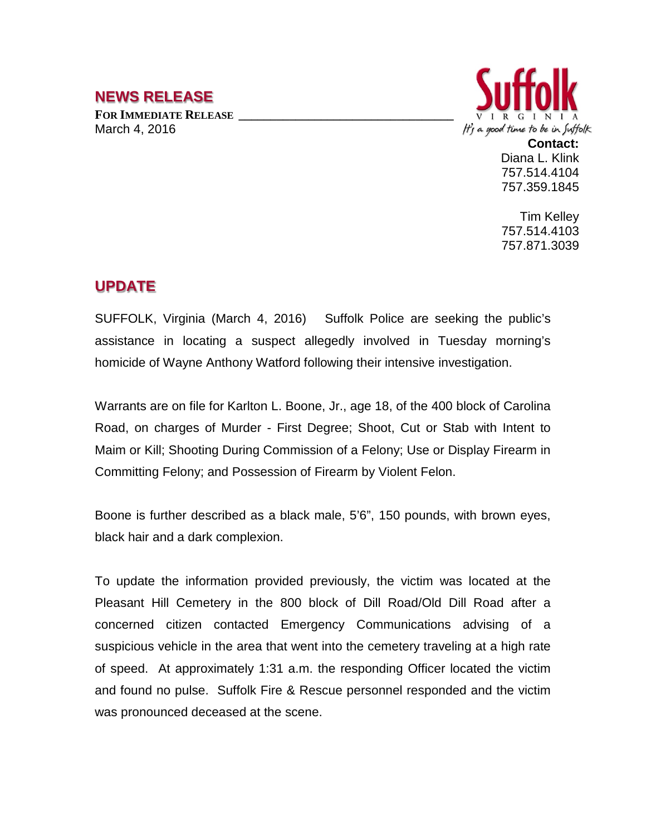## **NEWS RELEASE**

FOR **IMMEDIATE RELEASE** March 4, 2016



**Contact:** Diana L. Klink 757.514.4104 757.359.1845

Tim Kelley 757.514.4103 757.871.3039

## **UPDATE**

SUFFOLK, Virginia (March 4, 2016) Suffolk Police are seeking the public's assistance in locating a suspect allegedly involved in Tuesday morning's homicide of Wayne Anthony Watford following their intensive investigation.

Warrants are on file for Karlton L. Boone, Jr., age 18, of the 400 block of Carolina Road, on charges of Murder - First Degree; Shoot, Cut or Stab with Intent to Maim or Kill; Shooting During Commission of a Felony; Use or Display Firearm in Committing Felony; and Possession of Firearm by Violent Felon.

Boone is further described as a black male, 5'6", 150 pounds, with brown eyes, black hair and a dark complexion.

To update the information provided previously, the victim was located at the Pleasant Hill Cemetery in the 800 block of Dill Road/Old Dill Road after a concerned citizen contacted Emergency Communications advising of a suspicious vehicle in the area that went into the cemetery traveling at a high rate of speed. At approximately 1:31 a.m. the responding Officer located the victim and found no pulse. Suffolk Fire & Rescue personnel responded and the victim was pronounced deceased at the scene.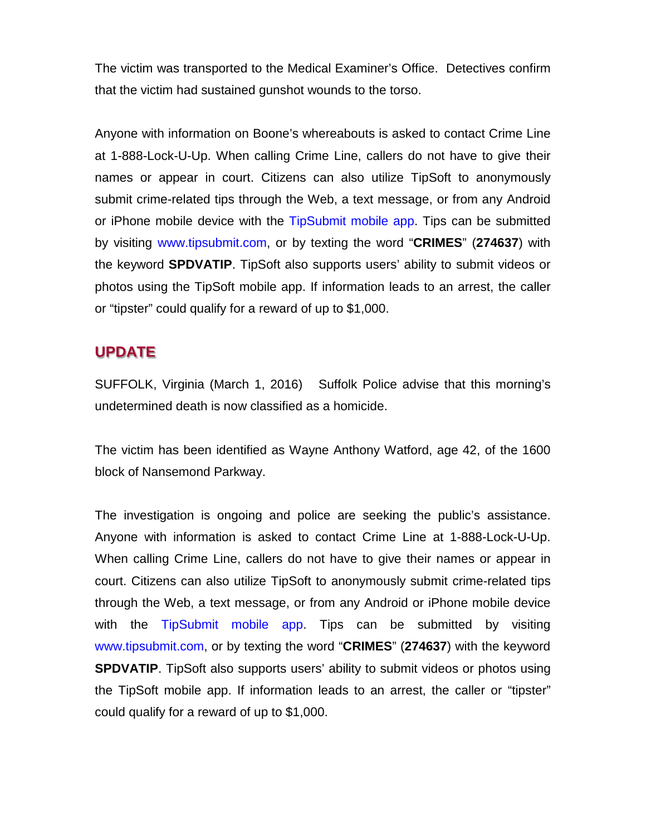The victim was transported to the Medical Examiner's Office. Detectives confirm that the victim had sustained gunshot wounds to the torso.

Anyone with information on Boone's whereabouts is asked to contact Crime Line at 1-888-Lock-U-Up. When calling Crime Line, callers do not have to give their names or appear in court. Citizens can also utilize TipSoft to anonymously submit crime-related tips through the Web, a text message, or from any Android or iPhone mobile device with the TipSubmit mobile app. Tips can be submitted by visiting www.tipsubmit.com, or by texting the word "**CRIMES**" (**274637**) with the keyword **SPDVATIP**. TipSoft also supports users' ability to submit videos or photos using the TipSoft mobile app. If information leads to an arrest, the caller or "tipster" could qualify for a reward of up to \$1,000.

## **UPDATE**

SUFFOLK, Virginia (March 1, 2016) Suffolk Police advise that this morning's undetermined death is now classified as a homicide.

The victim has been identified as Wayne Anthony Watford, age 42, of the 1600 block of Nansemond Parkway.

The investigation is ongoing and police are seeking the public's assistance. Anyone with information is asked to contact Crime Line at 1-888-Lock-U-Up. When calling Crime Line, callers do not have to give their names or appear in court. Citizens can also utilize TipSoft to anonymously submit crime-related tips through the Web, a text message, or from any Android or iPhone mobile device with the TipSubmit mobile app. Tips can be submitted by visiting www.tipsubmit.com, or by texting the word "**CRIMES**" (**274637**) with the keyword **SPDVATIP.** TipSoft also supports users' ability to submit videos or photos using the TipSoft mobile app. If information leads to an arrest, the caller or "tipster" could qualify for a reward of up to \$1,000.